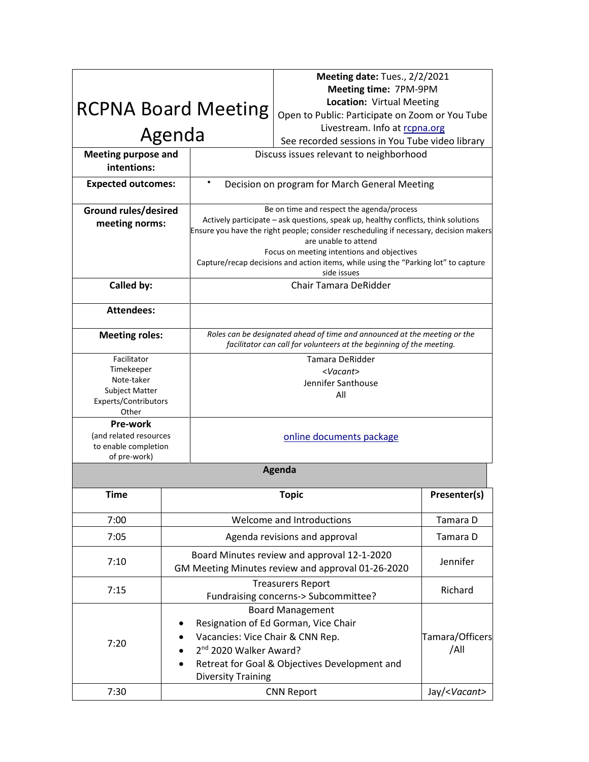|                                                                                            |                                                                                                     |                                                                                                                                                                                                                                                                                                                                                                                                     | Meeting date: Tues., 2/2/2021                                                                                    |                         |  |  |
|--------------------------------------------------------------------------------------------|-----------------------------------------------------------------------------------------------------|-----------------------------------------------------------------------------------------------------------------------------------------------------------------------------------------------------------------------------------------------------------------------------------------------------------------------------------------------------------------------------------------------------|------------------------------------------------------------------------------------------------------------------|-------------------------|--|--|
|                                                                                            |                                                                                                     |                                                                                                                                                                                                                                                                                                                                                                                                     | Meeting time: 7PM-9PM                                                                                            |                         |  |  |
| <b>RCPNA Board Meeting</b>                                                                 |                                                                                                     |                                                                                                                                                                                                                                                                                                                                                                                                     | Location: Virtual Meeting                                                                                        |                         |  |  |
|                                                                                            |                                                                                                     |                                                                                                                                                                                                                                                                                                                                                                                                     | Open to Public: Participate on Zoom or You Tube                                                                  |                         |  |  |
|                                                                                            |                                                                                                     |                                                                                                                                                                                                                                                                                                                                                                                                     | Livestream. Info at rcpna.org                                                                                    |                         |  |  |
|                                                                                            | Agenda                                                                                              |                                                                                                                                                                                                                                                                                                                                                                                                     | See recorded sessions in You Tube video library                                                                  |                         |  |  |
| <b>Meeting purpose and</b><br>intentions:                                                  |                                                                                                     | Discuss issues relevant to neighborhood                                                                                                                                                                                                                                                                                                                                                             |                                                                                                                  |                         |  |  |
| <b>Expected outcomes:</b>                                                                  |                                                                                                     | $\bullet$<br>Decision on program for March General Meeting                                                                                                                                                                                                                                                                                                                                          |                                                                                                                  |                         |  |  |
| <b>Ground rules/desired</b><br>meeting norms:                                              |                                                                                                     | Be on time and respect the agenda/process<br>Actively participate - ask questions, speak up, healthy conflicts, think solutions<br>Ensure you have the right people; consider rescheduling if necessary, decision makers<br>are unable to attend<br>Focus on meeting intentions and objectives<br>Capture/recap decisions and action items, while using the "Parking lot" to capture<br>side issues |                                                                                                                  |                         |  |  |
| Called by:                                                                                 |                                                                                                     | Chair Tamara DeRidder                                                                                                                                                                                                                                                                                                                                                                               |                                                                                                                  |                         |  |  |
| <b>Attendees:</b>                                                                          |                                                                                                     |                                                                                                                                                                                                                                                                                                                                                                                                     |                                                                                                                  |                         |  |  |
| <b>Meeting roles:</b>                                                                      |                                                                                                     | Roles can be designated ahead of time and announced at the meeting or the<br>facilitator can call for volunteers at the beginning of the meeting.                                                                                                                                                                                                                                                   |                                                                                                                  |                         |  |  |
| Facilitator<br>Timekeeper<br>Note-taker<br>Subject Matter<br>Experts/Contributors<br>Other |                                                                                                     | Tamara DeRidder<br><vacant><br/>Jennifer Santhouse<br/>All</vacant>                                                                                                                                                                                                                                                                                                                                 |                                                                                                                  |                         |  |  |
| Pre-work<br>(and related resources<br>to enable completion<br>of pre-work)                 |                                                                                                     | online documents package                                                                                                                                                                                                                                                                                                                                                                            |                                                                                                                  |                         |  |  |
|                                                                                            |                                                                                                     | Agenda                                                                                                                                                                                                                                                                                                                                                                                              |                                                                                                                  |                         |  |  |
| <b>Time</b>                                                                                |                                                                                                     |                                                                                                                                                                                                                                                                                                                                                                                                     | <b>Topic</b>                                                                                                     | Presenter(s)            |  |  |
| 7:00                                                                                       |                                                                                                     |                                                                                                                                                                                                                                                                                                                                                                                                     | Welcome and Introductions                                                                                        | Tamara D                |  |  |
| 7:05                                                                                       |                                                                                                     |                                                                                                                                                                                                                                                                                                                                                                                                     | Agenda revisions and approval                                                                                    | Tamara D                |  |  |
| 7:10                                                                                       |                                                                                                     |                                                                                                                                                                                                                                                                                                                                                                                                     | Board Minutes review and approval 12-1-2020<br>GM Meeting Minutes review and approval 01-26-2020                 | Jennifer                |  |  |
| 7:15                                                                                       |                                                                                                     |                                                                                                                                                                                                                                                                                                                                                                                                     | <b>Treasurers Report</b><br>Fundraising concerns-> Subcommittee?                                                 | Richard                 |  |  |
| 7:20                                                                                       | Vacancies: Vice Chair & CNN Rep.<br>2 <sup>nd</sup> 2020 Walker Award?<br><b>Diversity Training</b> |                                                                                                                                                                                                                                                                                                                                                                                                     | <b>Board Management</b><br>Resignation of Ed Gorman, Vice Chair<br>Retreat for Goal & Objectives Development and | Tamara/Officers<br>/All |  |  |
| 7:30                                                                                       |                                                                                                     |                                                                                                                                                                                                                                                                                                                                                                                                     | <b>CNN Report</b>                                                                                                | Jay/ <vacant></vacant>  |  |  |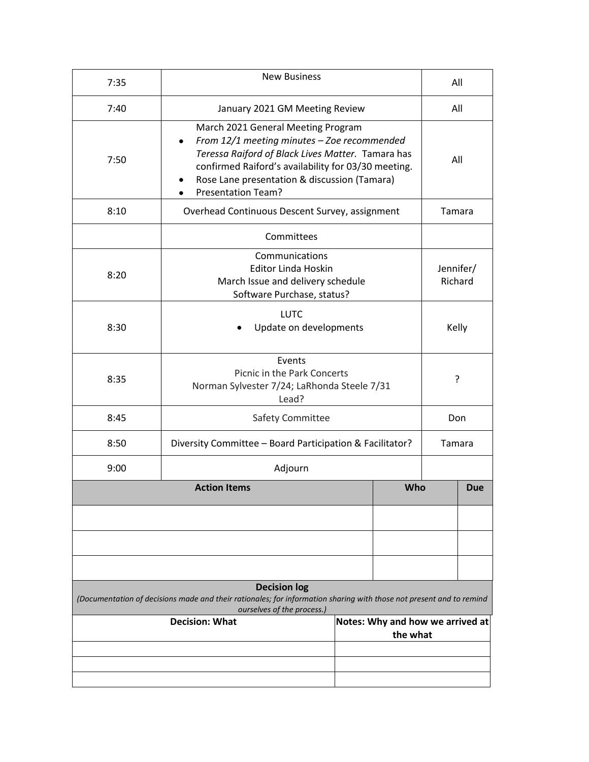| 7:35                                                                                                                                                                     | <b>New Business</b>                                                                                                                                                                                                                                                              |     |                                              | All                  |        |  |
|--------------------------------------------------------------------------------------------------------------------------------------------------------------------------|----------------------------------------------------------------------------------------------------------------------------------------------------------------------------------------------------------------------------------------------------------------------------------|-----|----------------------------------------------|----------------------|--------|--|
| 7:40                                                                                                                                                                     | January 2021 GM Meeting Review                                                                                                                                                                                                                                                   | All |                                              |                      |        |  |
| 7:50                                                                                                                                                                     | March 2021 General Meeting Program<br>From 12/1 meeting minutes - Zoe recommended<br>$\bullet$<br>Teressa Raiford of Black Lives Matter. Tamara has<br>confirmed Raiford's availability for 03/30 meeting.<br>Rose Lane presentation & discussion (Tamara)<br>Presentation Team? |     |                                              |                      |        |  |
| 8:10                                                                                                                                                                     | Overhead Continuous Descent Survey, assignment                                                                                                                                                                                                                                   |     |                                              |                      | Tamara |  |
|                                                                                                                                                                          | Committees                                                                                                                                                                                                                                                                       |     |                                              |                      |        |  |
| 8:20                                                                                                                                                                     | Communications<br><b>Editor Linda Hoskin</b><br>March Issue and delivery schedule<br>Software Purchase, status?                                                                                                                                                                  |     |                                              | Jennifer/<br>Richard |        |  |
| 8:30                                                                                                                                                                     | <b>LUTC</b><br>Update on developments                                                                                                                                                                                                                                            |     |                                              | Kelly                |        |  |
| 8:35                                                                                                                                                                     | Events<br>Picnic in the Park Concerts<br>Norman Sylvester 7/24; LaRhonda Steele 7/31<br>Lead?                                                                                                                                                                                    |     |                                              | ?                    |        |  |
| 8:45                                                                                                                                                                     | Safety Committee                                                                                                                                                                                                                                                                 |     |                                              | Don                  |        |  |
| 8:50                                                                                                                                                                     | Diversity Committee - Board Participation & Facilitator?                                                                                                                                                                                                                         |     |                                              | Tamara               |        |  |
| 9:00                                                                                                                                                                     | Adjourn                                                                                                                                                                                                                                                                          |     |                                              |                      |        |  |
|                                                                                                                                                                          | <b>Action Items</b>                                                                                                                                                                                                                                                              | Who |                                              |                      | Due    |  |
|                                                                                                                                                                          |                                                                                                                                                                                                                                                                                  |     |                                              |                      |        |  |
|                                                                                                                                                                          |                                                                                                                                                                                                                                                                                  |     |                                              |                      |        |  |
|                                                                                                                                                                          |                                                                                                                                                                                                                                                                                  |     |                                              |                      |        |  |
| <b>Decision log</b><br>(Documentation of decisions made and their rationales; for information sharing with those not present and to remind<br>ourselves of the process.) |                                                                                                                                                                                                                                                                                  |     |                                              |                      |        |  |
| <b>Decision: What</b>                                                                                                                                                    |                                                                                                                                                                                                                                                                                  |     | Notes: Why and how we arrived at<br>the what |                      |        |  |
|                                                                                                                                                                          |                                                                                                                                                                                                                                                                                  |     |                                              |                      |        |  |
|                                                                                                                                                                          |                                                                                                                                                                                                                                                                                  |     |                                              |                      |        |  |